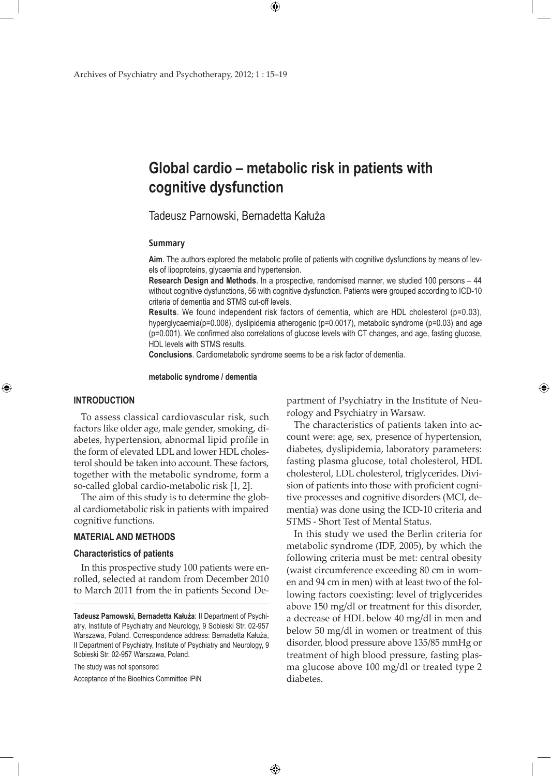# **Global cardio – metabolic risk in patients with cognitive dysfunction**

 $\bigoplus$ 

Tadeusz Parnowski, Bernadetta Kałuża

#### **Summary**

**Aim**. The authors explored the metabolic profile of patients with cognitive dysfunctions by means of levels of lipoproteins, glycaemia and hypertension.

**Research Design and Methods**. In a prospective, randomised manner, we studied 100 persons – 44 without cognitive dysfunctions, 56 with cognitive dysfunction. Patients were grouped according to ICD-10 criteria of dementia and STMS cut-off levels.

**Results**. We found independent risk factors of dementia, which are HDL cholesterol (p=0.03), hyperglycaemia(p=0.008), dyslipidemia atherogenic (p=0.0017), metabolic syndrome (p=0.03) and age (p=0.001). We confirmed also correlations of glucose levels with CT changes, and age, fasting glucose, HDL levels with STMS results.

**Conclusions**. Cardiometabolic syndrome seems to be a risk factor of dementia.

 $\bigoplus$ 

**metabolic syndrome / dementia**

## **INTRODUCTION**

⊕

To assess classical cardiovascular risk, such factors like older age, male gender, smoking, diabetes, hypertension, abnormal lipid profile in the form of elevated LDL and lower HDL cholesterol should be taken into account. These factors, together with the metabolic syndrome, form a so-called global cardio-metabolic risk [1, 2].

The aim of this study is to determine the global cardiometabolic risk in patients with impaired cognitive functions.

#### **MATERIAL AND METHODS**

#### **Characteristics of patients**

In this prospective study 100 patients were enrolled, selected at random from December 2010 to March 2011 from the in patients Second De-

The study was not sponsored

Acceptance of the Bioethics Committee IPiN

partment of Psychiatry in the Institute of Neurology and Psychiatry in Warsaw.

⊕

The characteristics of patients taken into account were: age, sex, presence of hypertension, diabetes, dyslipidemia, laboratory parameters: fasting plasma glucose, total cholesterol, HDL cholesterol, LDL cholesterol, triglycerides. Division of patients into those with proficient cognitive processes and cognitive disorders (MCI, dementia) was done using the ICD-10 criteria and STMS - Short Test of Mental Status.

In this study we used the Berlin criteria for metabolic syndrome (IDF, 2005), by which the following criteria must be met: central obesity (waist circumference exceeding 80 cm in women and 94 cm in men) with at least two of the following factors coexisting: level of triglycerides above 150 mg/dl or treatment for this disorder, a decrease of HDL below 40 mg/dl in men and below 50 mg/dl in women or treatment of this disorder, blood pressure above 135/85 mmHg or treatment of high blood pressure, fasting plasma glucose above 100 mg/dl or treated type 2 diabetes.

**Tadeusz Parnowski, Bernadetta Kałuża**: II Department of Psychiatry, Institute of Psychiatry and Neurology, 9 Sobieski Str. 02-957 Warszawa, Poland. Correspondence address: Bernadetta Kałuża, II Department of Psychiatry, Institute of Psychiatry and Neurology, 9 Sobieski Str. 02-957 Warszawa, Poland.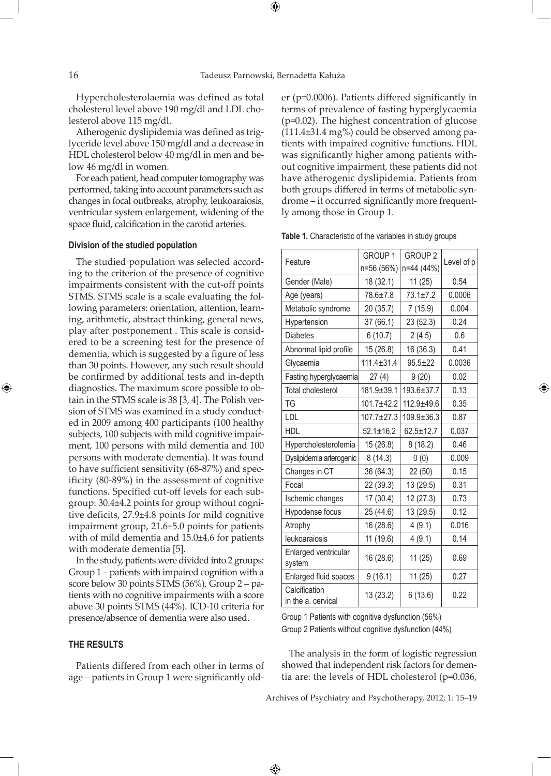⊕

⊕

Hypercholesterolaemia was defined as total cholesterol level above 190 mg/dl and LDL cholesterol above 115 mg/dl.

Atherogenic dyslipidemia was defined as triglyceride level above 150 mg/dl and a decrease in HDL cholesterol below 40 mg/dl in men and below 46 mg/dl in women.

For each patient, head computer tomography was performed, taking into account parameters such as: changes in focal outbreaks, atrophy, leukoaraiosis, ventricular system enlargement, widening of the space fluid, calcification in the carotid arteries.

## **Division of the studied population**

The studied population was selected according to the criterion of the presence of cognitive impairments consistent with the cut-off points STMS. STMS scale is a scale evaluating the following parameters: orientation, attention, learning, arithmetic, abstract thinking, general news, play after postponement . This scale is considered to be a screening test for the presence of dementia, which is suggested by a figure of less than 30 points. However, any such result should be confirmed by additional tests and in-depth diagnostics. The maximum score possible to obtain in the STMS scale is 38 [3, 4]. The Polish version of STMS was examined in a study conducted in 2009 among 400 participants (100 healthy subjects, 100 subjects with mild cognitive impairment, 100 persons with mild dementia and 100 persons with moderate dementia). It was found to have sufficient sensitivity (68-87%) and specificity (80-89%) in the assessment of cognitive functions. Specified cut-off levels for each subgroup: 30.4±4.2 points for group without cognitive deficits, 27.9±4.8 points for mild cognitive impairment group, 21.6±5.0 points for patients with of mild dementia and 15.0±4.6 for patients with moderate dementia [5].

In the study, patients were divided into 2 groups: Group 1 – patients with impaired cognition with a score below 30 points STMS (56%), Group 2 – patients with no cognitive impairments with a score above 30 points STMS (44%). ICD-10 criteria for presence/absence of dementia were also used.

#### **THE RESULTS**

Patients differed from each other in terms of age – patients in Group 1 were significantly older (p=0.0006). Patients differed significantly in terms of prevalence of fasting hyperglycaemia (p=0.02). The highest concentration of glucose  $(111.4\pm31.4 \text{ mg\%})$  could be observed among patients with impaired cognitive functions. HDL was significantly higher among patients without cognitive impairment, these patients did not have atherogenic dyslipidemia. Patients from both groups differed in terms of metabolic syndrome – it occurred significantly more frequently among those in Group 1.

| Feature                             | GROUP <sub>1</sub> | <b>GROUP 2</b>  |            |  |
|-------------------------------------|--------------------|-----------------|------------|--|
|                                     | n=56 (56%)         | n=44 (44%)      | Level of p |  |
| Gender (Male)                       | 18 (32.1)          | 11(25)          | 0.54       |  |
| Age (years)                         | 78.6±7.8           | $73.1 \pm 7.2$  | 0.0006     |  |
| Metabolic syndrome                  | 20 (35.7)          | 7(15.9)         | 0.004      |  |
| Hypertension                        | 37(66.1)           | 23 (52.3)       | 0.24       |  |
| <b>Diabetes</b>                     | 6(10.7)            | 2(4.5)          | 0.6        |  |
| Abnormal lipid profile              | 15 (26.8)          | 16 (36.3)       | 0.41       |  |
| Glycaemia                           | $111.4 \pm 31.4$   | $95.5 + 22$     | 0.0036     |  |
| Fasting hyperglycaemia              | 27(4)              | 9(20)           | 0.02       |  |
| <b>Total cholesterol</b>            | 181.9±39.1         | 193.6±37.7      | 0.13       |  |
| <b>TG</b>                           | 101.7±42.2         | 112.9±49.6      | 0.35       |  |
| LDL                                 | $107.7 \pm 27.3$   | 109.9±36.3      | 0.87       |  |
| <b>HDL</b>                          | $52.1 \pm 16.2$    | $62.5 \pm 12.7$ | 0.037      |  |
| Hypercholesterolemia                | 15 (26.8)          | 8(18.2)         | 0.46       |  |
| Dyslipidemia arterogenic            | 8(14.3)            | 0(0)            | 0.009      |  |
| Changes in CT                       | 36 (64.3)          | 22 (50)         | 0.15       |  |
| Focal                               | 22 (39.3)          | 13 (29.5)       | 0.31       |  |
| Ischemic changes                    | 17 (30.4)          | 12 (27.3)       | 0.73       |  |
| Hypodense focus                     | 25 (44.6)          | 13 (29.5)       | 0.12       |  |
| Atrophy                             | 16 (28.6)          | 4(9.1)          | 0.016      |  |
| leukoaraiosis                       | 11 (19.6)          | 4(9.1)          | 0.14       |  |
| Enlarged ventricular<br>system      | 16 (28.6)          | 11(25)          | 0.69       |  |
| Enlarged fluid spaces               | 9(16.1)            | 11 (25)         | 0.27       |  |
| Calcification<br>in the a. cervical | 13 (23.2)          | 6(13.6)         | 0.22       |  |

⊕

**Table 1.** Characteristic of the variables in study groups

Group 1 Patients with cognitive dysfunction (56%) Group 2 Patients without cognitive dysfunction (44%)

The analysis in the form of logistic regression showed that independent risk factors for dementia are: the levels of HDL cholesterol (p=0.036,

Archives of Psychiatry and Psychotherapy, 2012; 1: 15–19

 $\bigoplus$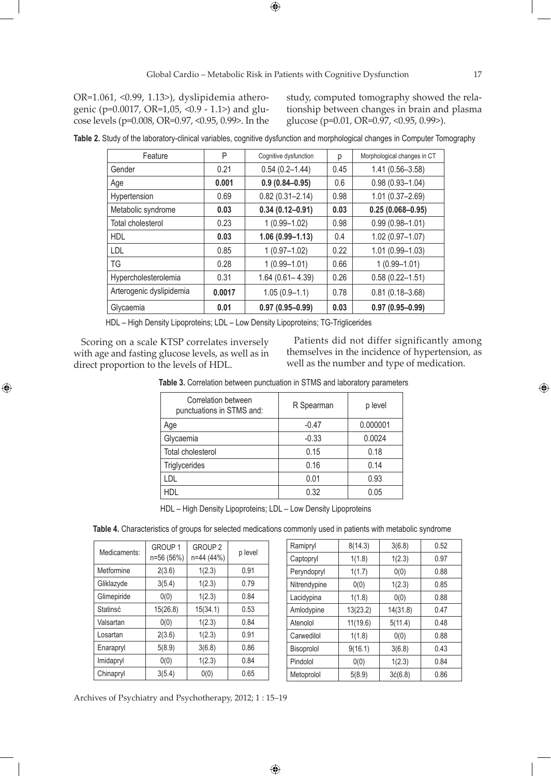$\bigoplus$ 

OR=1.061, <0.99, 1.13>), dyslipidemia atherogenic (p=0.0017, OR=1,05, <0.9 - 1.1>) and glucose levels (p=0.008, OR=0.97, <0.95, 0.99>. In the

study, computed tomography showed the relationship between changes in brain and plasma glucose (p=0.01, OR=0.97, <0.95, 0.99>).

**Table 2.** Study of the laboratory-clinical variables, cognitive dysfunction and morphological changes in Computer Tomography

| Feature                  | P      | Cognitive dysfunction | р    | Morphological changes in CT |
|--------------------------|--------|-----------------------|------|-----------------------------|
| Gender                   | 0.21   | $0.54(0.2 - 1.44)$    | 0.45 | $1.41(0.56 - 3.58)$         |
| Age                      | 0.001  | $0.9(0.84 - 0.95)$    | 0.6  | $0.98(0.93 - 1.04)$         |
| Hypertension             | 0.69   | $0.82(0.31 - 2.14)$   | 0.98 | $1.01(0.37 - 2.69)$         |
| Metabolic syndrome       | 0.03   | $0.34(0.12 - 0.91)$   | 0.03 | $0.25(0.068 - 0.95)$        |
| Total cholesterol        | 0.23   | $1(0.99 - 1.02)$      | 0.98 | $0.99(0.98 - 1.01)$         |
| <b>HDL</b>               | 0.03   | $1.06(0.99 - 1.13)$   | 0.4  | $1.02(0.97 - 1.07)$         |
| <b>LDL</b>               | 0.85   | $1(0.97 - 1.02)$      | 0.22 | $1.01(0.99 - 1.03)$         |
| <b>TG</b>                | 0.28   | $1(0.99 - 1.01)$      | 0.66 | $1(0.99 - 1.01)$            |
| Hypercholesterolemia     | 0.31   | $1.64(0.61 - 4.39)$   | 0.26 | $0.58(0.22 - 1.51)$         |
| Arterogenic dyslipidemia | 0.0017 | $1.05(0.9 - 1.1)$     | 0.78 | $0.81(0.18 - 3.68)$         |
| Glycaemia                | 0.01   | $0.97(0.95 - 0.99)$   | 0.03 | $0.97(0.95 - 0.99)$         |

HDL – High Density Lipoproteins; LDL – Low Density Lipoproteins; TG-Triglicerides

Scoring on a scale KTSP correlates inversely with age and fasting glucose levels, as well as in direct proportion to the levels of HDL.

⊕

Patients did not differ significantly among themselves in the incidence of hypertension, as well as the number and type of medication.

| Table 3. Correlation between punctuation in STMS and laboratory parameters |  |  |  |  |  |  |
|----------------------------------------------------------------------------|--|--|--|--|--|--|
|----------------------------------------------------------------------------|--|--|--|--|--|--|

| Correlation between<br>punctuations in STMS and: | R Spearman | p level  |
|--------------------------------------------------|------------|----------|
| Age                                              | $-0.47$    | 0.000001 |
| Glycaemia                                        | $-0.33$    | 0.0024   |
| Total cholesterol                                | 0.15       | 0.18     |
| Triglycerides                                    | 0.16       | 0.14     |
| LDL                                              | 0.01       | 0.93     |
| <b>HDL</b>                                       | 0.32       | 0.05     |

HDL – High Density Lipoproteins; LDL – Low Density Lipoproteins

**Table 4.** Characteristics of groups for selected medications commonly used in patients with metabolic syndrome

 $\bigoplus$ 

| Medicaments: | <b>GROUP1</b><br>n=56 (56%) | <b>GROUP 2</b><br>n=44 (44%) | p level |
|--------------|-----------------------------|------------------------------|---------|
| Metformine   | 2(3.6)                      | 1(2.3)                       | 0.91    |
| Gliklazyde   | 3(5.4)                      | 1(2.3)                       | 0.79    |
| Glimepiride  | 0(0)                        | 1(2.3)                       | 0.84    |
| Statinsć     | 15(26.8)                    | 15(34.1)                     | 0.53    |
| Valsartan    | 0(0)                        | 1(2.3)                       | 0.84    |
| Losartan     | 2(3.6)                      | 1(2.3)                       | 0.91    |
| Enarapryl    | 5(8.9)                      | 3(6.8)                       | 0.86    |
| Imidapryl    | 0(0)                        | 1(2.3)                       | 0.84    |
| Chinapryl    | 3(5.4)                      | 0(0)                         | 0.65    |
|              |                             |                              |         |

| Ramipryl     | 8(14.3)  | 3(6.8)   | 0.52 |
|--------------|----------|----------|------|
| Captopryl    | 1(1.8)   | 1(2.3)   | 0.97 |
| Peryndopryl  | 1(1.7)   | 0(0)     | 0.88 |
| Nitrendypine | 0(0)     | 1(2.3)   | 0.85 |
| Lacidypina   | 1(1.8)   | 0(0)     | 0.88 |
| Amlodypine   | 13(23.2) | 14(31.8) | 0.47 |
| Atenolol     | 11(19.6) | 5(11.4)  | 0.48 |
| Carwedilol   | 1(1.8)   | 0(0)     | 0.88 |
| Bisoprolol   | 9(16.1)  | 3(6.8)   | 0.43 |
| Pindolol     | 0(0)     | 1(2.3)   | 0.84 |
| Metoprolol   | 5(8.9)   | 36(6.8)  | 0.86 |

Archives of Psychiatry and Psychotherapy, 2012; 1 : 15–19

⊕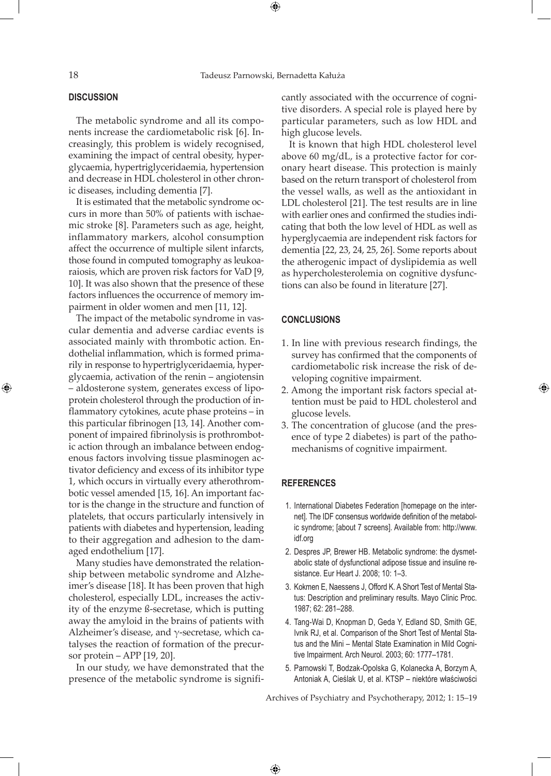⊕

## **DISCUSSION**

The metabolic syndrome and all its components increase the cardiometabolic risk [6]. Increasingly, this problem is widely recognised, examining the impact of central obesity, hyperglycaemia, hypertriglyceridaemia, hypertension and decrease in HDL cholesterol in other chronic diseases, including dementia [7].

It is estimated that the metabolic syndrome occurs in more than 50% of patients with ischaemic stroke [8]. Parameters such as age, height, inflammatory markers, alcohol consumption affect the occurrence of multiple silent infarcts, those found in computed tomography as leukoaraiosis, which are proven risk factors for VaD [9, 10]. It was also shown that the presence of these factors influences the occurrence of memory impairment in older women and men [11, 12].

The impact of the metabolic syndrome in vascular dementia and adverse cardiac events is associated mainly with thrombotic action. Endothelial inflammation, which is formed primarily in response to hypertriglyceridaemia, hyperglycaemia, activation of the renin – angiotensin – aldosterone system, generates excess of lipoprotein cholesterol through the production of inflammatory cytokines, acute phase proteins – in this particular fibrinogen [13, 14]. Another component of impaired fibrinolysis is prothrombotic action through an imbalance between endogenous factors involving tissue plasminogen activator deficiency and excess of its inhibitor type 1, which occurs in virtually every atherothrombotic vessel amended [15, 16]. An important factor is the change in the structure and function of platelets, that occurs particularly intensively in patients with diabetes and hypertension, leading to their aggregation and adhesion to the damaged endothelium [17].

Many studies have demonstrated the relationship between metabolic syndrome and Alzheimer's disease [18]. It has been proven that high cholesterol, especially LDL, increases the activity of the enzyme ß-secretase, which is putting away the amyloid in the brains of patients with Alzheimer's disease, and  $\gamma$ -secretase, which catalyses the reaction of formation of the precursor protein – APP [19, 20].

In our study, we have demonstrated that the presence of the metabolic syndrome is significantly associated with the occurrence of cognitive disorders. A special role is played here by particular parameters, such as low HDL and high glucose levels.

It is known that high HDL cholesterol level above 60 mg/dL, is a protective factor for coronary heart disease. This protection is mainly based on the return transport of cholesterol from the vessel walls, as well as the antioxidant in LDL cholesterol [21]. The test results are in line with earlier ones and confirmed the studies indicating that both the low level of HDL as well as hyperglycaemia are independent risk factors for dementia [22, 23, 24, 25, 26]. Some reports about the atherogenic impact of dyslipidemia as well as hypercholesterolemia on cognitive dysfunctions can also be found in literature [27].

#### **CONCLUSIONS**

- 1. In line with previous research findings, the survey has confirmed that the components of cardiometabolic risk increase the risk of developing cognitive impairment.
- 2. Among the important risk factors special attention must be paid to HDL cholesterol and glucose levels.

⊕

3. The concentration of glucose (and the presence of type 2 diabetes) is part of the pathomechanisms of cognitive impairment.

## **REFERENCES**

 $\bigoplus$ 

- 1. International Diabetes Federation [homepage on the internet]. The IDF consensus worldwide definition of the metabolic syndrome; [about 7 screens]. Available from: http://www. idf.org
- 2. Despres JP, Brewer HB. Metabolic syndrome: the dysmetabolic state of dysfunctional adipose tissue and insuline resistance. Eur Heart J. 2008; 10: 1–3.
- 3. Kokmen E, Naessens J, Offord K. A Short Test of Mental Status: Description and preliminary results. Mayo Clinic Proc. 1987; 62: 281–288.
- 4. Tang-Wai D, Knopman D, Geda Y, Edland SD, Smith GE, Ivnik RJ, et al. Comparison of the Short Test of Mental Status and the Mini – Mental State Examination in Mild Cognitive Impairment. Arch Neurol. 2003; 60: 1777–1781.
- 5. Parnowski T, Bodzak-Opolska G, Kolanecka A, Borzym A, Antoniak A, Cieślak U, et al. KTSP – niektóre właściwości

Archives of Psychiatry and Psychotherapy, 2012; 1: 15–19

⊕